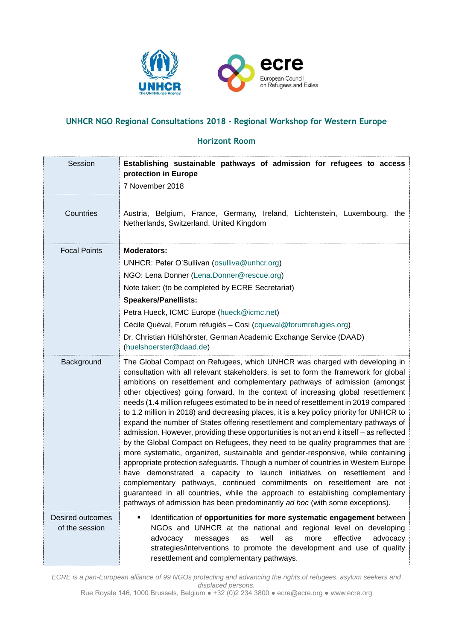

# **UNHCR NGO Regional Consultations 2018 - Regional Workshop for Western Europe**

### **Horizont Room**

| Session                            | Establishing sustainable pathways of admission for refugees to access<br>protection in Europe<br>7 November 2018                                                                                                                                                                                                                                                                                                                                                                                                                                                                                                                                                                                                                                                                                                                                                                                                                                                                                                                                                                                                                                                                                                                                                                     |
|------------------------------------|--------------------------------------------------------------------------------------------------------------------------------------------------------------------------------------------------------------------------------------------------------------------------------------------------------------------------------------------------------------------------------------------------------------------------------------------------------------------------------------------------------------------------------------------------------------------------------------------------------------------------------------------------------------------------------------------------------------------------------------------------------------------------------------------------------------------------------------------------------------------------------------------------------------------------------------------------------------------------------------------------------------------------------------------------------------------------------------------------------------------------------------------------------------------------------------------------------------------------------------------------------------------------------------|
| Countries                          | Austria, Belgium, France, Germany, Ireland, Lichtenstein, Luxembourg, the<br>Netherlands, Switzerland, United Kingdom                                                                                                                                                                                                                                                                                                                                                                                                                                                                                                                                                                                                                                                                                                                                                                                                                                                                                                                                                                                                                                                                                                                                                                |
| <b>Focal Points</b>                | <b>Moderators:</b><br>UNHCR: Peter O'Sullivan (osulliva@unhcr.org)<br>NGO: Lena Donner (Lena.Donner@rescue.org)<br>Note taker: (to be completed by ECRE Secretariat)<br><b>Speakers/Panellists:</b><br>Petra Hueck, ICMC Europe (hueck@icmc.net)<br>Cécile Quéval, Forum réfugiés - Cosi (cqueval@forumrefugies.org)<br>Dr. Christian Hülshörster, German Academic Exchange Service (DAAD)<br>(huelshoerster@daad.de)                                                                                                                                                                                                                                                                                                                                                                                                                                                                                                                                                                                                                                                                                                                                                                                                                                                                |
| Background                         | The Global Compact on Refugees, which UNHCR was charged with developing in<br>consultation with all relevant stakeholders, is set to form the framework for global<br>ambitions on resettlement and complementary pathways of admission (amongst<br>other objectives) going forward. In the context of increasing global resettlement<br>needs (1.4 million refugees estimated to be in need of resettlement in 2019 compared<br>to 1.2 million in 2018) and decreasing places, it is a key policy priority for UNHCR to<br>expand the number of States offering resettlement and complementary pathways of<br>admission. However, providing these opportunities is not an end it itself - as reflected<br>by the Global Compact on Refugees, they need to be quality programmes that are<br>more systematic, organized, sustainable and gender-responsive, while containing<br>appropriate protection safeguards. Though a number of countries in Western Europe<br>have demonstrated a capacity to launch initiatives on resettlement and<br>complementary pathways, continued commitments on resettlement are not<br>guaranteed in all countries, while the approach to establishing complementary<br>pathways of admission has been predominantly ad hoc (with some exceptions). |
| Desired outcomes<br>of the session | Identification of opportunities for more systematic engagement between<br>٠<br>NGOs and UNHCR at the national and regional level on developing<br>effective<br>advocacy<br>well<br>more<br>advocacy<br>messages<br>as<br>as<br>strategies/interventions to promote the development and use of quality<br>resettlement and complementary pathways.                                                                                                                                                                                                                                                                                                                                                                                                                                                                                                                                                                                                                                                                                                                                                                                                                                                                                                                                    |

*ECRE is a pan-European alliance of 99 NGOs protecting and advancing the rights of refugees, asylum seekers and displaced persons.*

Rue Royale 146, 1000 Brussels, Belgium ● +32 (0)2 234 3800 ● ecre@ecre.org ● www.ecre.org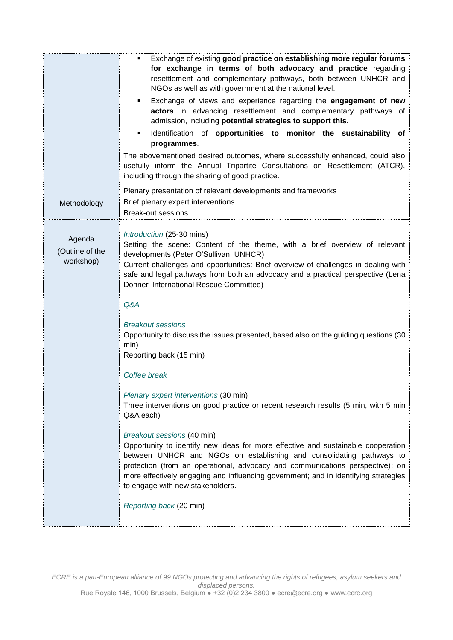|                                        | Exchange of existing good practice on establishing more regular forums<br>٠<br>for exchange in terms of both advocacy and practice regarding<br>resettlement and complementary pathways, both between UNHCR and<br>NGOs as well as with government at the national level.<br>Exchange of views and experience regarding the engagement of new<br>$\blacksquare$<br>actors in advancing resettlement and complementary pathways of<br>admission, including potential strategies to support this.<br>Identification of opportunities to monitor the sustainability<br>of<br>programmes.<br>The abovementioned desired outcomes, where successfully enhanced, could also<br>usefully inform the Annual Tripartite Consultations on Resettlement (ATCR),<br>including through the sharing of good practice. |
|----------------------------------------|---------------------------------------------------------------------------------------------------------------------------------------------------------------------------------------------------------------------------------------------------------------------------------------------------------------------------------------------------------------------------------------------------------------------------------------------------------------------------------------------------------------------------------------------------------------------------------------------------------------------------------------------------------------------------------------------------------------------------------------------------------------------------------------------------------|
| Methodology                            | Plenary presentation of relevant developments and frameworks<br>Brief plenary expert interventions<br><b>Break-out sessions</b>                                                                                                                                                                                                                                                                                                                                                                                                                                                                                                                                                                                                                                                                         |
| Agenda<br>(Outline of the<br>workshop) | Introduction (25-30 mins)<br>Setting the scene: Content of the theme, with a brief overview of relevant<br>developments (Peter O'Sullivan, UNHCR)<br>Current challenges and opportunities: Brief overview of challenges in dealing with<br>safe and legal pathways from both an advocacy and a practical perspective (Lena<br>Donner, International Rescue Committee)<br>Q&A                                                                                                                                                                                                                                                                                                                                                                                                                            |
|                                        | <b>Breakout sessions</b><br>Opportunity to discuss the issues presented, based also on the guiding questions (30<br>min)<br>Reporting back (15 min)<br>Coffee break                                                                                                                                                                                                                                                                                                                                                                                                                                                                                                                                                                                                                                     |
|                                        | Plenary expert interventions (30 min)<br>Three interventions on good practice or recent research results (5 min, with 5 min<br>Q&A each)                                                                                                                                                                                                                                                                                                                                                                                                                                                                                                                                                                                                                                                                |
|                                        | Breakout sessions (40 min)<br>Opportunity to identify new ideas for more effective and sustainable cooperation<br>between UNHCR and NGOs on establishing and consolidating pathways to<br>protection (from an operational, advocacy and communications perspective); on<br>more effectively engaging and influencing government; and in identifying strategies<br>to engage with new stakeholders.<br>Reporting back (20 min)                                                                                                                                                                                                                                                                                                                                                                           |
|                                        |                                                                                                                                                                                                                                                                                                                                                                                                                                                                                                                                                                                                                                                                                                                                                                                                         |

*ECRE is a pan-European alliance of 99 NGOs protecting and advancing the rights of refugees, asylum seekers and displaced persons.* Rue Royale 146, 1000 Brussels, Belgium ● +32 (0)2 234 3800 ● ecre@ecre.org ● www.ecre.org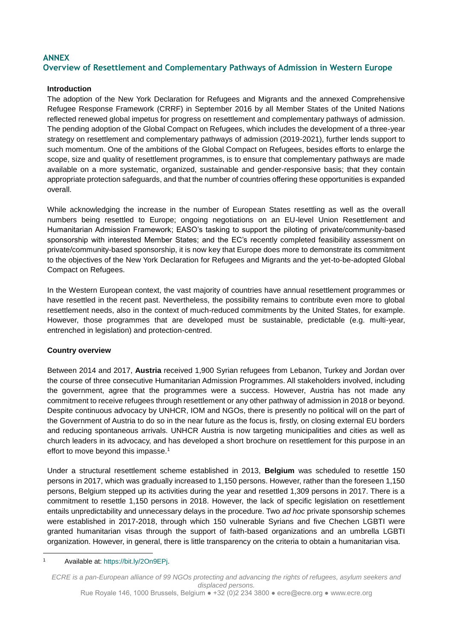## **ANNEX Overview of Resettlement and Complementary Pathways of Admission in Western Europe**

#### **Introduction**

The adoption of the New York Declaration for Refugees and Migrants and the annexed Comprehensive Refugee Response Framework (CRRF) in September 2016 by all Member States of the United Nations reflected renewed global impetus for progress on resettlement and complementary pathways of admission. The pending adoption of the Global Compact on Refugees, which includes the development of a three-year strategy on resettlement and complementary pathways of admission (2019-2021), further lends support to such momentum. One of the ambitions of the Global Compact on Refugees, besides efforts to enlarge the scope, size and quality of resettlement programmes, is to ensure that complementary pathways are made available on a more systematic, organized, sustainable and gender-responsive basis; that they contain appropriate protection safeguards, and that the number of countries offering these opportunities is expanded overall.

While acknowledging the increase in the number of European States resettling as well as the overall numbers being resettled to Europe; ongoing negotiations on an EU-level Union Resettlement and Humanitarian Admission Framework; EASO's tasking to support the piloting of private/community-based sponsorship with interested Member States; and the EC's recently completed feasibility assessment on private/community-based sponsorship, it is now key that Europe does more to demonstrate its commitment to the objectives of the New York Declaration for Refugees and Migrants and the yet-to-be-adopted Global Compact on Refugees.

In the Western European context, the vast majority of countries have annual resettlement programmes or have resettled in the recent past. Nevertheless, the possibility remains to contribute even more to global resettlement needs, also in the context of much-reduced commitments by the United States, for example. However, those programmes that are developed must be sustainable, predictable (e.g. multi-year, entrenched in legislation) and protection-centred.

#### **Country overview**

Between 2014 and 2017, **Austria** received 1,900 Syrian refugees from Lebanon, Turkey and Jordan over the course of three consecutive Humanitarian Admission Programmes. All stakeholders involved, including the government, agree that the programmes were a success. However, Austria has not made any commitment to receive refugees through resettlement or any other pathway of admission in 2018 or beyond. Despite continuous advocacy by UNHCR, IOM and NGOs, there is presently no political will on the part of the Government of Austria to do so in the near future as the focus is, firstly, on closing external EU borders and reducing spontaneous arrivals. UNHCR Austria is now targeting municipalities and cities as well as church leaders in its advocacy, and has developed a short brochure on resettlement for this purpose in an effort to move beyond this impasse.<sup>1</sup>

Under a structural resettlement scheme established in 2013, **Belgium** was scheduled to resettle 150 persons in 2017, which was gradually increased to 1,150 persons. However, rather than the foreseen 1,150 persons, Belgium stepped up its activities during the year and resettled 1,309 persons in 2017. There is a commitment to resettle 1,150 persons in 2018. However, the lack of specific legislation on resettlement entails unpredictability and unnecessary delays in the procedure. Two *ad hoc* private sponsorship schemes were established in 2017-2018, through which 150 vulnerable Syrians and five Chechen LGBTI were granted humanitarian visas through the support of faith-based organizations and an umbrella LGBTI organization. However, in general, there is little transparency on the criteria to obtain a humanitarian visa.

1

<sup>1</sup> Available at: [https://bit.ly/2On9EPj.](https://bit.ly/2On9EPj)

*ECRE is a pan-European alliance of 99 NGOs protecting and advancing the rights of refugees, asylum seekers and displaced persons.*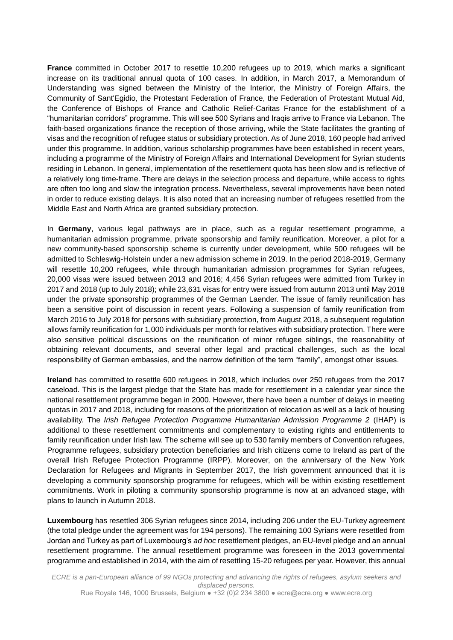**France** committed in October 2017 to resettle 10,200 refugees up to 2019, which marks a significant increase on its traditional annual quota of 100 cases. In addition, in March 2017, a Memorandum of Understanding was signed between the Ministry of the Interior, the Ministry of Foreign Affairs, the Community of Sant'Egidio, the Protestant Federation of France, the Federation of Protestant Mutual Aid, the Conference of Bishops of France and Catholic Relief-Caritas France for the establishment of a "humanitarian corridors" programme. This will see 500 Syrians and Iraqis arrive to France via Lebanon. The faith-based organizations finance the reception of those arriving, while the State facilitates the granting of visas and the recognition of refugee status or subsidiary protection. As of June 2018, 160 people had arrived under this programme. In addition, various scholarship programmes have been established in recent years, including a programme of the Ministry of Foreign Affairs and International Development for Syrian students residing in Lebanon. In general, implementation of the resettlement quota has been slow and is reflective of a relatively long time-frame. There are delays in the selection process and departure, while access to rights are often too long and slow the integration process. Nevertheless, several improvements have been noted in order to reduce existing delays. It is also noted that an increasing number of refugees resettled from the Middle East and North Africa are granted subsidiary protection.

In **Germany**, various legal pathways are in place, such as a regular resettlement programme, a humanitarian admission programme, private sponsorship and family reunification. Moreover, a pilot for a new community-based sponsorship scheme is currently under development, while 500 refugees will be admitted to Schleswig-Holstein under a new admission scheme in 2019. In the period 2018-2019, Germany will resettle 10,200 refugees, while through humanitarian admission programmes for Syrian refugees, 20,000 visas were issued between 2013 and 2016; 4,456 Syrian refugees were admitted from Turkey in 2017 and 2018 (up to July 2018); while 23,631 visas for entry were issued from autumn 2013 until May 2018 under the private sponsorship programmes of the German Laender. The issue of family reunification has been a sensitive point of discussion in recent years. Following a suspension of family reunification from March 2016 to July 2018 for persons with subsidiary protection, from August 2018, a subsequent regulation allows family reunification for 1,000 individuals per month for relatives with subsidiary protection. There were also sensitive political discussions on the reunification of minor refugee siblings, the reasonability of obtaining relevant documents, and several other legal and practical challenges, such as the local responsibility of German embassies, and the narrow definition of the term "family", amongst other issues.

**Ireland** has committed to resettle 600 refugees in 2018, which includes over 250 refugees from the 2017 caseload. This is the largest pledge that the State has made for resettlement in a calendar year since the national resettlement programme began in 2000. However, there have been a number of delays in meeting quotas in 2017 and 2018, including for reasons of the prioritization of relocation as well as a lack of housing availability. The *Irish Refugee Protection Programme Humanitarian Admission Programme 2* (IHAP) is additional to these resettlement commitments and complementary to existing rights and entitlements to family reunification under Irish law. The scheme will see up to 530 family members of Convention refugees, Programme refugees, subsidiary protection beneficiaries and Irish citizens come to Ireland as part of the overall Irish Refugee Protection Programme (IRPP). Moreover, on the anniversary of the New York Declaration for Refugees and Migrants in September 2017, the Irish government announced that it is developing a community sponsorship programme for refugees, which will be within existing resettlement commitments. Work in piloting a community sponsorship programme is now at an advanced stage, with plans to launch in Autumn 2018.

**Luxembourg** has resettled 306 Syrian refugees since 2014, including 206 under the EU-Turkey agreement (the total pledge under the agreement was for 194 persons). The remaining 100 Syrians were resettled from Jordan and Turkey as part of Luxembourg's *ad hoc* resettlement pledges, an EU-level pledge and an annual resettlement programme. The annual resettlement programme was foreseen in the 2013 governmental programme and established in 2014, with the aim of resettling 15-20 refugees per year. However, this annual